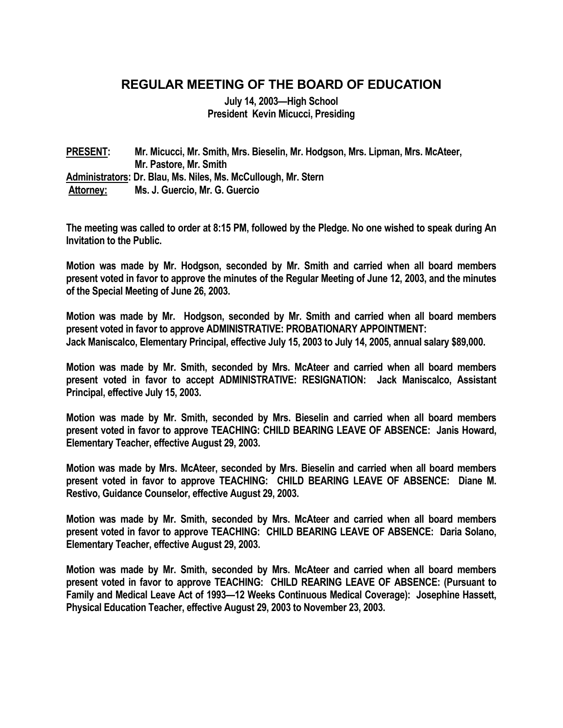## **REGULAR MEETING OF THE BOARD OF EDUCATION**

**July 14, 2003—High School President Kevin Micucci, Presiding** 

**PRESENT: Mr. Micucci, Mr. Smith, Mrs. Bieselin, Mr. Hodgson, Mrs. Lipman, Mrs. McAteer, Mr. Pastore, Mr. Smith Administrators: Dr. Blau, Ms. Niles, Ms. McCullough, Mr. Stern Attorney: Ms. J. Guercio, Mr. G. Guercio** 

**The meeting was called to order at 8:15 PM, followed by the Pledge. No one wished to speak during An Invitation to the Public.** 

**Motion was made by Mr. Hodgson, seconded by Mr. Smith and carried when all board members present voted in favor to approve the minutes of the Regular Meeting of June 12, 2003, and the minutes of the Special Meeting of June 26, 2003.** 

**Motion was made by Mr. Hodgson, seconded by Mr. Smith and carried when all board members present voted in favor to approve ADMINISTRATIVE: PROBATIONARY APPOINTMENT: Jack Maniscalco, Elementary Principal, effective July 15, 2003 to July 14, 2005, annual salary \$89,000.** 

**Motion was made by Mr. Smith, seconded by Mrs. McAteer and carried when all board members present voted in favor to accept ADMINISTRATIVE: RESIGNATION: Jack Maniscalco, Assistant Principal, effective July 15, 2003.** 

**Motion was made by Mr. Smith, seconded by Mrs. Bieselin and carried when all board members present voted in favor to approve TEACHING: CHILD BEARING LEAVE OF ABSENCE: Janis Howard, Elementary Teacher, effective August 29, 2003.** 

**Motion was made by Mrs. McAteer, seconded by Mrs. Bieselin and carried when all board members present voted in favor to approve TEACHING: CHILD BEARING LEAVE OF ABSENCE: Diane M. Restivo, Guidance Counselor, effective August 29, 2003.** 

**Motion was made by Mr. Smith, seconded by Mrs. McAteer and carried when all board members present voted in favor to approve TEACHING: CHILD BEARING LEAVE OF ABSENCE: Daria Solano, Elementary Teacher, effective August 29, 2003.** 

**Motion was made by Mr. Smith, seconded by Mrs. McAteer and carried when all board members present voted in favor to approve TEACHING: CHILD REARING LEAVE OF ABSENCE: (Pursuant to Family and Medical Leave Act of 1993—12 Weeks Continuous Medical Coverage): Josephine Hassett, Physical Education Teacher, effective August 29, 2003 to November 23, 2003.**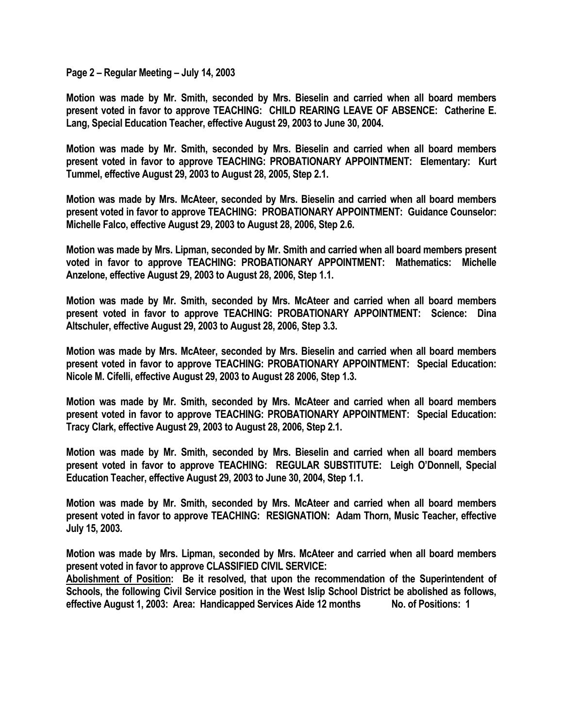**Page 2 – Regular Meeting – July 14, 2003** 

**Motion was made by Mr. Smith, seconded by Mrs. Bieselin and carried when all board members present voted in favor to approve TEACHING: CHILD REARING LEAVE OF ABSENCE: Catherine E. Lang, Special Education Teacher, effective August 29, 2003 to June 30, 2004.** 

**Motion was made by Mr. Smith, seconded by Mrs. Bieselin and carried when all board members present voted in favor to approve TEACHING: PROBATIONARY APPOINTMENT: Elementary: Kurt Tummel, effective August 29, 2003 to August 28, 2005, Step 2.1.** 

**Motion was made by Mrs. McAteer, seconded by Mrs. Bieselin and carried when all board members present voted in favor to approve TEACHING: PROBATIONARY APPOINTMENT: Guidance Counselor: Michelle Falco, effective August 29, 2003 to August 28, 2006, Step 2.6.** 

**Motion was made by Mrs. Lipman, seconded by Mr. Smith and carried when all board members present voted in favor to approve TEACHING: PROBATIONARY APPOINTMENT: Mathematics: Michelle Anzelone, effective August 29, 2003 to August 28, 2006, Step 1.1.** 

**Motion was made by Mr. Smith, seconded by Mrs. McAteer and carried when all board members present voted in favor to approve TEACHING: PROBATIONARY APPOINTMENT: Science: Dina Altschuler, effective August 29, 2003 to August 28, 2006, Step 3.3.** 

**Motion was made by Mrs. McAteer, seconded by Mrs. Bieselin and carried when all board members present voted in favor to approve TEACHING: PROBATIONARY APPOINTMENT: Special Education: Nicole M. Cifelli, effective August 29, 2003 to August 28 2006, Step 1.3.** 

**Motion was made by Mr. Smith, seconded by Mrs. McAteer and carried when all board members present voted in favor to approve TEACHING: PROBATIONARY APPOINTMENT: Special Education: Tracy Clark, effective August 29, 2003 to August 28, 2006, Step 2.1.** 

**Motion was made by Mr. Smith, seconded by Mrs. Bieselin and carried when all board members present voted in favor to approve TEACHING: REGULAR SUBSTITUTE: Leigh O'Donnell, Special Education Teacher, effective August 29, 2003 to June 30, 2004, Step 1.1.** 

**Motion was made by Mr. Smith, seconded by Mrs. McAteer and carried when all board members present voted in favor to approve TEACHING: RESIGNATION: Adam Thorn, Music Teacher, effective July 15, 2003.** 

**Motion was made by Mrs. Lipman, seconded by Mrs. McAteer and carried when all board members present voted in favor to approve CLASSIFIED CIVIL SERVICE:** 

**Abolishment of Position: Be it resolved, that upon the recommendation of the Superintendent of Schools, the following Civil Service position in the West Islip School District be abolished as follows, effective August 1, 2003: Area: Handicapped Services Aide 12 months No. of Positions: 1**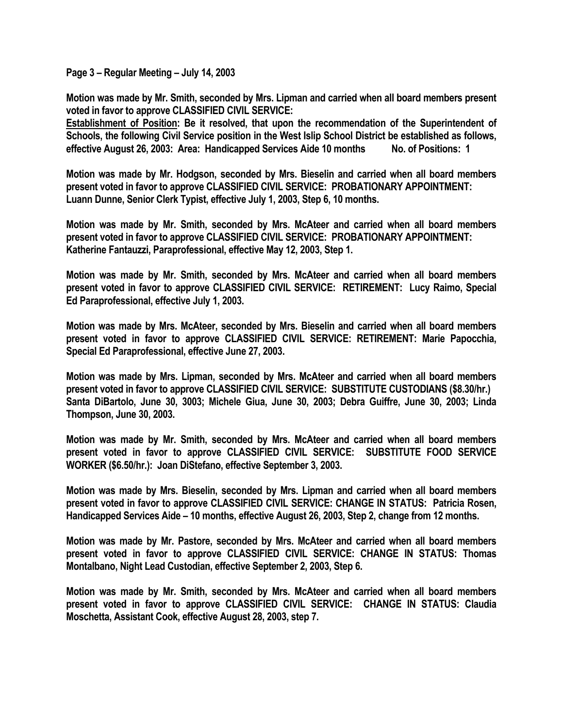**Page 3 – Regular Meeting – July 14, 2003** 

**Motion was made by Mr. Smith, seconded by Mrs. Lipman and carried when all board members present voted in favor to approve CLASSIFIED CIVIL SERVICE:** 

**Establishment of Position: Be it resolved, that upon the recommendation of the Superintendent of Schools, the following Civil Service position in the West Islip School District be established as follows, effective August 26, 2003: Area: Handicapped Services Aide 10 months No. of Positions: 1** 

**Motion was made by Mr. Hodgson, seconded by Mrs. Bieselin and carried when all board members present voted in favor to approve CLASSIFIED CIVIL SERVICE: PROBATIONARY APPOINTMENT: Luann Dunne, Senior Clerk Typist, effective July 1, 2003, Step 6, 10 months.** 

**Motion was made by Mr. Smith, seconded by Mrs. McAteer and carried when all board members present voted in favor to approve CLASSIFIED CIVIL SERVICE: PROBATIONARY APPOINTMENT: Katherine Fantauzzi, Paraprofessional, effective May 12, 2003, Step 1.** 

**Motion was made by Mr. Smith, seconded by Mrs. McAteer and carried when all board members present voted in favor to approve CLASSIFIED CIVIL SERVICE: RETIREMENT: Lucy Raimo, Special Ed Paraprofessional, effective July 1, 2003.** 

**Motion was made by Mrs. McAteer, seconded by Mrs. Bieselin and carried when all board members present voted in favor to approve CLASSIFIED CIVIL SERVICE: RETIREMENT: Marie Papocchia, Special Ed Paraprofessional, effective June 27, 2003.** 

**Motion was made by Mrs. Lipman, seconded by Mrs. McAteer and carried when all board members present voted in favor to approve CLASSIFIED CIVIL SERVICE: SUBSTITUTE CUSTODIANS (\$8.30/hr.) Santa DiBartolo, June 30, 3003; Michele Giua, June 30, 2003; Debra Guiffre, June 30, 2003; Linda Thompson, June 30, 2003.** 

**Motion was made by Mr. Smith, seconded by Mrs. McAteer and carried when all board members present voted in favor to approve CLASSIFIED CIVIL SERVICE: SUBSTITUTE FOOD SERVICE WORKER (\$6.50/hr.): Joan DiStefano, effective September 3, 2003.** 

**Motion was made by Mrs. Bieselin, seconded by Mrs. Lipman and carried when all board members present voted in favor to approve CLASSIFIED CIVIL SERVICE: CHANGE IN STATUS: Patricia Rosen, Handicapped Services Aide – 10 months, effective August 26, 2003, Step 2, change from 12 months.** 

**Motion was made by Mr. Pastore, seconded by Mrs. McAteer and carried when all board members present voted in favor to approve CLASSIFIED CIVIL SERVICE: CHANGE IN STATUS: Thomas Montalbano, Night Lead Custodian, effective September 2, 2003, Step 6.** 

**Motion was made by Mr. Smith, seconded by Mrs. McAteer and carried when all board members present voted in favor to approve CLASSIFIED CIVIL SERVICE: CHANGE IN STATUS: Claudia Moschetta, Assistant Cook, effective August 28, 2003, step 7.**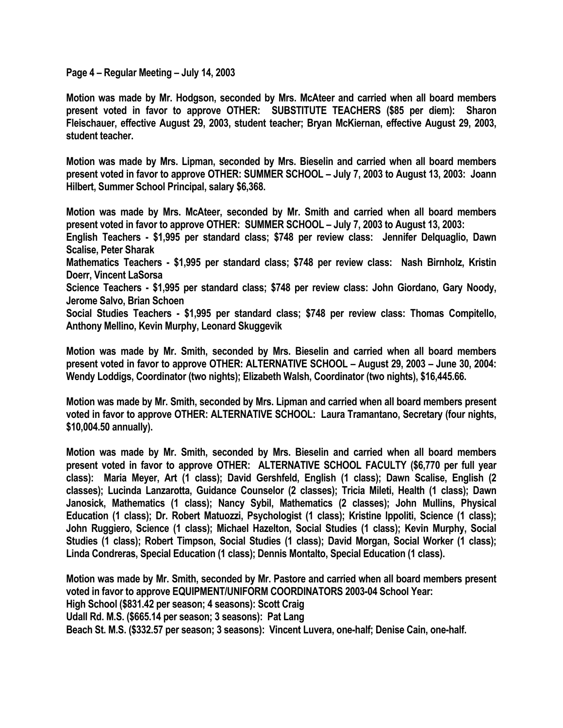**Page 4 – Regular Meeting – July 14, 2003** 

**Motion was made by Mr. Hodgson, seconded by Mrs. McAteer and carried when all board members present voted in favor to approve OTHER: SUBSTITUTE TEACHERS (\$85 per diem): Sharon Fleischauer, effective August 29, 2003, student teacher; Bryan McKiernan, effective August 29, 2003, student teacher.** 

**Motion was made by Mrs. Lipman, seconded by Mrs. Bieselin and carried when all board members present voted in favor to approve OTHER: SUMMER SCHOOL – July 7, 2003 to August 13, 2003: Joann Hilbert, Summer School Principal, salary \$6,368.** 

**Motion was made by Mrs. McAteer, seconded by Mr. Smith and carried when all board members present voted in favor to approve OTHER: SUMMER SCHOOL – July 7, 2003 to August 13, 2003:** 

**English Teachers - \$1,995 per standard class; \$748 per review class: Jennifer Delquaglio, Dawn Scalise, Peter Sharak** 

**Mathematics Teachers - \$1,995 per standard class; \$748 per review class: Nash Birnholz, Kristin Doerr, Vincent LaSorsa** 

**Science Teachers - \$1,995 per standard class; \$748 per review class: John Giordano, Gary Noody, Jerome Salvo, Brian Schoen** 

**Social Studies Teachers - \$1,995 per standard class; \$748 per review class: Thomas Compitello, Anthony Mellino, Kevin Murphy, Leonard Skuggevik** 

**Motion was made by Mr. Smith, seconded by Mrs. Bieselin and carried when all board members present voted in favor to approve OTHER: ALTERNATIVE SCHOOL – August 29, 2003 – June 30, 2004: Wendy Loddigs, Coordinator (two nights); Elizabeth Walsh, Coordinator (two nights), \$16,445.66.** 

**Motion was made by Mr. Smith, seconded by Mrs. Lipman and carried when all board members present voted in favor to approve OTHER: ALTERNATIVE SCHOOL: Laura Tramantano, Secretary (four nights, \$10,004.50 annually).** 

**Motion was made by Mr. Smith, seconded by Mrs. Bieselin and carried when all board members present voted in favor to approve OTHER: ALTERNATIVE SCHOOL FACULTY (\$6,770 per full year class): Maria Meyer, Art (1 class); David Gershfeld, English (1 class); Dawn Scalise, English (2 classes); Lucinda Lanzarotta, Guidance Counselor (2 classes); Tricia Mileti, Health (1 class); Dawn Janosick, Mathematics (1 class); Nancy Sybil, Mathematics (2 classes); John Mullins, Physical Education (1 class); Dr. Robert Matuozzi, Psychologist (1 class); Kristine Ippoliti, Science (1 class); John Ruggiero, Science (1 class); Michael Hazelton, Social Studies (1 class); Kevin Murphy, Social Studies (1 class); Robert Timpson, Social Studies (1 class); David Morgan, Social Worker (1 class); Linda Condreras, Special Education (1 class); Dennis Montalto, Special Education (1 class).** 

**Motion was made by Mr. Smith, seconded by Mr. Pastore and carried when all board members present voted in favor to approve EQUIPMENT/UNIFORM COORDINATORS 2003-04 School Year: High School (\$831.42 per season; 4 seasons): Scott Craig Udall Rd. M.S. (\$665.14 per season; 3 seasons): Pat Lang Beach St. M.S. (\$332.57 per season; 3 seasons): Vincent Luvera, one-half; Denise Cain, one-half.**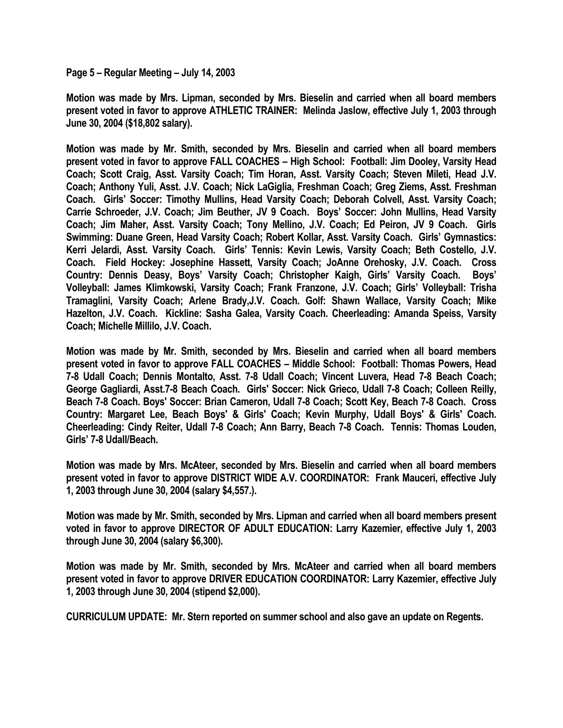**Page 5 – Regular Meeting – July 14, 2003** 

**Motion was made by Mrs. Lipman, seconded by Mrs. Bieselin and carried when all board members present voted in favor to approve ATHLETIC TRAINER: Melinda Jaslow, effective July 1, 2003 through June 30, 2004 (\$18,802 salary).** 

**Motion was made by Mr. Smith, seconded by Mrs. Bieselin and carried when all board members present voted in favor to approve FALL COACHES – High School: Football: Jim Dooley, Varsity Head Coach; Scott Craig, Asst. Varsity Coach; Tim Horan, Asst. Varsity Coach; Steven Mileti, Head J.V. Coach; Anthony Yuli, Asst. J.V. Coach; Nick LaGiglia, Freshman Coach; Greg Ziems, Asst. Freshman Coach. Girls' Soccer: Timothy Mullins, Head Varsity Coach; Deborah Colvell, Asst. Varsity Coach; Carrie Schroeder, J.V. Coach; Jim Beuther, JV 9 Coach. Boys' Soccer: John Mullins, Head Varsity Coach; Jim Maher, Asst. Varsity Coach; Tony Mellino, J.V. Coach; Ed Peiron, JV 9 Coach. Girls Swimming: Duane Green, Head Varsity Coach; Robert Kollar, Asst. Varsity Coach. Girls' Gymnastics: Kerri Jelardi, Asst. Varsity Coach. Girls' Tennis: Kevin Lewis, Varsity Coach; Beth Costello, J.V. Coach. Field Hockey: Josephine Hassett, Varsity Coach; JoAnne Orehosky, J.V. Coach. Cross Country: Dennis Deasy, Boys' Varsity Coach; Christopher Kaigh, Girls' Varsity Coach. Boys' Volleyball: James Klimkowski, Varsity Coach; Frank Franzone, J.V. Coach; Girls' Volleyball: Trisha Tramaglini, Varsity Coach; Arlene Brady,J.V. Coach. Golf: Shawn Wallace, Varsity Coach; Mike Hazelton, J.V. Coach. Kickline: Sasha Galea, Varsity Coach. Cheerleading: Amanda Speiss, Varsity Coach; Michelle Millilo, J.V. Coach.** 

**Motion was made by Mr. Smith, seconded by Mrs. Bieselin and carried when all board members present voted in favor to approve FALL COACHES – Middle School: Football: Thomas Powers, Head 7-8 Udall Coach; Dennis Montalto, Asst. 7-8 Udall Coach; Vincent Luvera, Head 7-8 Beach Coach; George Gagliardi, Asst.7-8 Beach Coach. Girls' Soccer: Nick Grieco, Udall 7-8 Coach; Colleen Reilly, Beach 7-8 Coach. Boys' Soccer: Brian Cameron, Udall 7-8 Coach; Scott Key, Beach 7-8 Coach. Cross Country: Margaret Lee, Beach Boys' & Girls' Coach; Kevin Murphy, Udall Boys' & Girls' Coach. Cheerleading: Cindy Reiter, Udall 7-8 Coach; Ann Barry, Beach 7-8 Coach. Tennis: Thomas Louden, Girls' 7-8 Udall/Beach.** 

**Motion was made by Mrs. McAteer, seconded by Mrs. Bieselin and carried when all board members present voted in favor to approve DISTRICT WIDE A.V. COORDINATOR: Frank Mauceri, effective July 1, 2003 through June 30, 2004 (salary \$4,557.).** 

**Motion was made by Mr. Smith, seconded by Mrs. Lipman and carried when all board members present voted in favor to approve DIRECTOR OF ADULT EDUCATION: Larry Kazemier, effective July 1, 2003 through June 30, 2004 (salary \$6,300).** 

**Motion was made by Mr. Smith, seconded by Mrs. McAteer and carried when all board members present voted in favor to approve DRIVER EDUCATION COORDINATOR: Larry Kazemier, effective July 1, 2003 through June 30, 2004 (stipend \$2,000).** 

**CURRICULUM UPDATE: Mr. Stern reported on summer school and also gave an update on Regents.**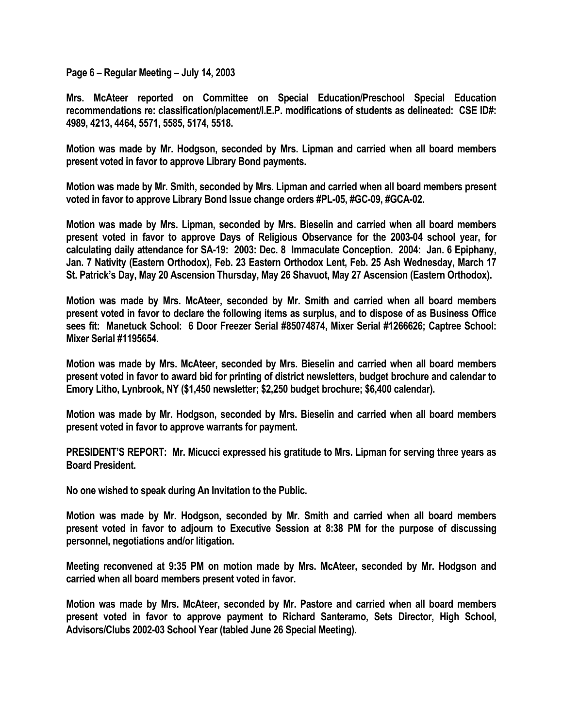**Page 6 – Regular Meeting – July 14, 2003** 

**Mrs. McAteer reported on Committee on Special Education/Preschool Special Education recommendations re: classification/placement/I.E.P. modifications of students as delineated: CSE ID#: 4989, 4213, 4464, 5571, 5585, 5174, 5518.** 

**Motion was made by Mr. Hodgson, seconded by Mrs. Lipman and carried when all board members present voted in favor to approve Library Bond payments.** 

**Motion was made by Mr. Smith, seconded by Mrs. Lipman and carried when all board members present voted in favor to approve Library Bond Issue change orders #PL-05, #GC-09, #GCA-02.** 

**Motion was made by Mrs. Lipman, seconded by Mrs. Bieselin and carried when all board members present voted in favor to approve Days of Religious Observance for the 2003-04 school year, for calculating daily attendance for SA-19: 2003: Dec. 8 Immaculate Conception. 2004: Jan. 6 Epiphany, Jan. 7 Nativity (Eastern Orthodox), Feb. 23 Eastern Orthodox Lent, Feb. 25 Ash Wednesday, March 17 St. Patrick's Day, May 20 Ascension Thursday, May 26 Shavuot, May 27 Ascension (Eastern Orthodox).** 

**Motion was made by Mrs. McAteer, seconded by Mr. Smith and carried when all board members present voted in favor to declare the following items as surplus, and to dispose of as Business Office sees fit: Manetuck School: 6 Door Freezer Serial #85074874, Mixer Serial #1266626; Captree School: Mixer Serial #1195654.** 

**Motion was made by Mrs. McAteer, seconded by Mrs. Bieselin and carried when all board members present voted in favor to award bid for printing of district newsletters, budget brochure and calendar to Emory Litho, Lynbrook, NY (\$1,450 newsletter; \$2,250 budget brochure; \$6,400 calendar).** 

**Motion was made by Mr. Hodgson, seconded by Mrs. Bieselin and carried when all board members present voted in favor to approve warrants for payment.** 

**PRESIDENT'S REPORT: Mr. Micucci expressed his gratitude to Mrs. Lipman for serving three years as Board President.** 

**No one wished to speak during An Invitation to the Public.** 

**Motion was made by Mr. Hodgson, seconded by Mr. Smith and carried when all board members present voted in favor to adjourn to Executive Session at 8:38 PM for the purpose of discussing personnel, negotiations and/or litigation.** 

**Meeting reconvened at 9:35 PM on motion made by Mrs. McAteer, seconded by Mr. Hodgson and carried when all board members present voted in favor.** 

**Motion was made by Mrs. McAteer, seconded by Mr. Pastore and carried when all board members present voted in favor to approve payment to Richard Santeramo, Sets Director, High School, Advisors/Clubs 2002-03 School Year (tabled June 26 Special Meeting).**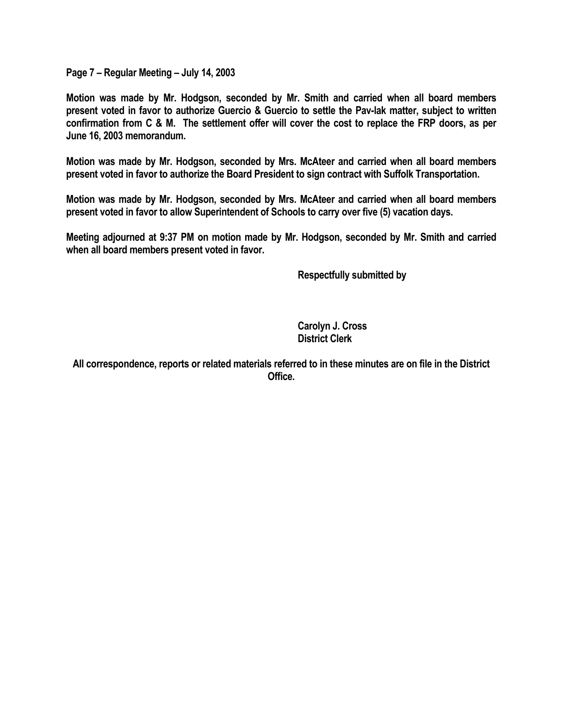**Page 7 – Regular Meeting – July 14, 2003** 

**Motion was made by Mr. Hodgson, seconded by Mr. Smith and carried when all board members present voted in favor to authorize Guercio & Guercio to settle the Pav-lak matter, subject to written confirmation from C & M. The settlement offer will cover the cost to replace the FRP doors, as per June 16, 2003 memorandum.** 

**Motion was made by Mr. Hodgson, seconded by Mrs. McAteer and carried when all board members present voted in favor to authorize the Board President to sign contract with Suffolk Transportation.** 

**Motion was made by Mr. Hodgson, seconded by Mrs. McAteer and carried when all board members present voted in favor to allow Superintendent of Schools to carry over five (5) vacation days.** 

**Meeting adjourned at 9:37 PM on motion made by Mr. Hodgson, seconded by Mr. Smith and carried when all board members present voted in favor.** 

 **Respectfully submitted by** 

 **Carolyn J. Cross District Clerk** 

**All correspondence, reports or related materials referred to in these minutes are on file in the District Office.**